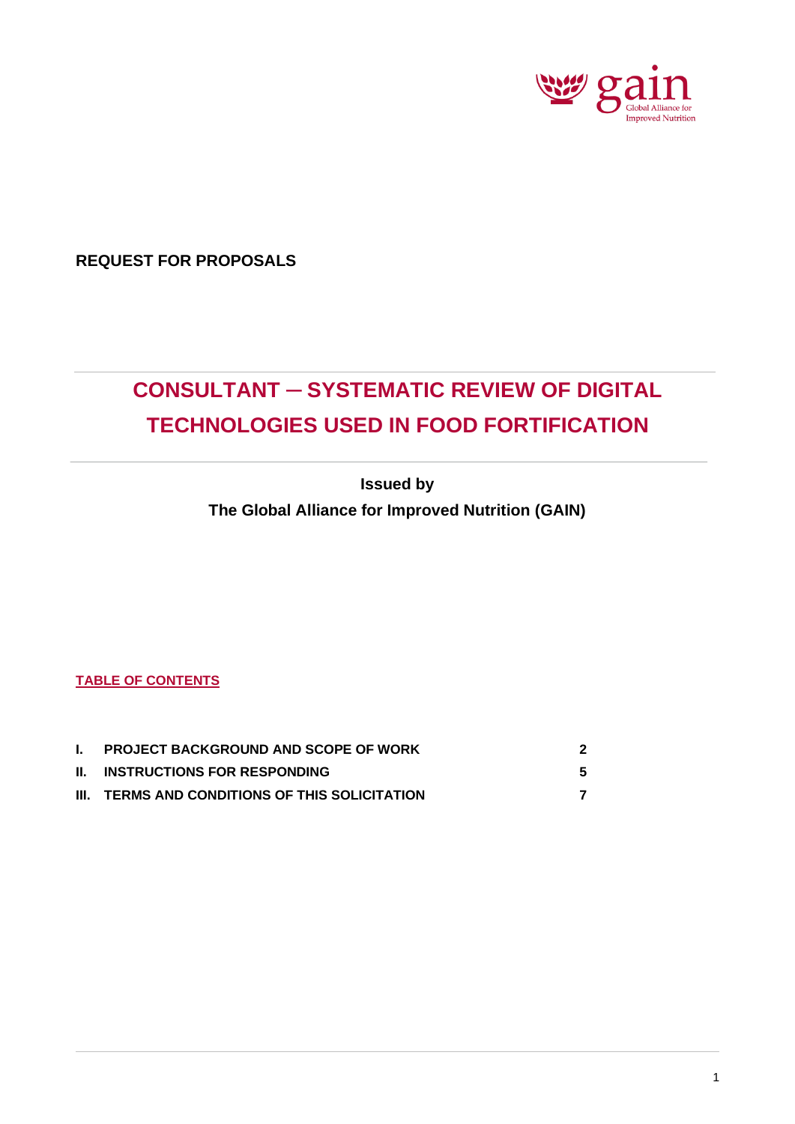

**REQUEST FOR PROPOSALS**

# **CONSULTANT ─ SYSTEMATIC REVIEW OF DIGITAL TECHNOLOGIES USED IN FOOD FORTIFICATION**

**Issued by**

**The Global Alliance for Improved Nutrition (GAIN)**

**TABLE OF CONTENTS**

| . I. | <b>PROJECT BACKGROUND AND SCOPE OF WORK</b>    |  |
|------|------------------------------------------------|--|
|      | <b>II. INSTRUCTIONS FOR RESPONDING</b>         |  |
|      | III. TERMS AND CONDITIONS OF THIS SOLICITATION |  |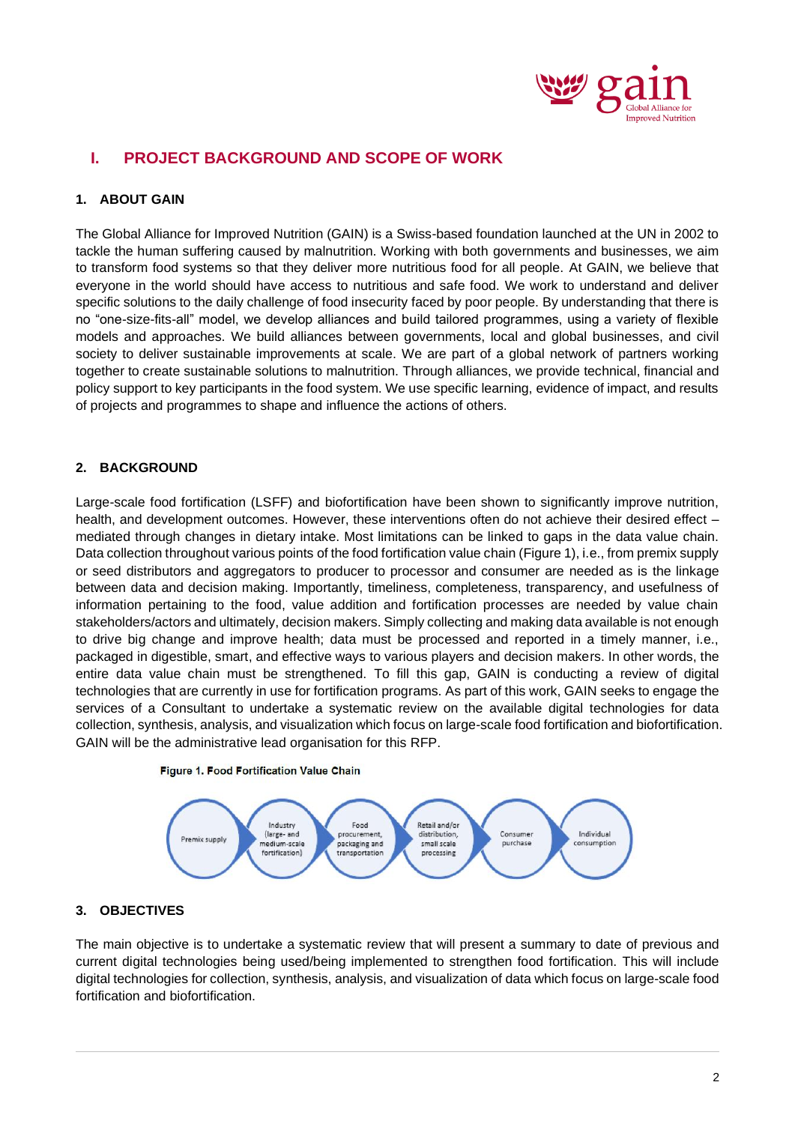

# **I. PROJECT BACKGROUND AND SCOPE OF WORK**

# **1. ABOUT GAIN**

The Global Alliance for Improved Nutrition (GAIN) is a Swiss-based foundation launched at the UN in 2002 to tackle the human suffering caused by malnutrition. Working with both governments and businesses, we aim to transform food systems so that they deliver more nutritious food for all people. At GAIN, we believe that everyone in the world should have access to nutritious and safe food. We work to understand and deliver specific solutions to the daily challenge of food insecurity faced by poor people. By understanding that there is no "one-size-fits-all" model, we develop alliances and build tailored programmes, using a variety of flexible models and approaches. We build alliances between governments, local and global businesses, and civil society to deliver sustainable improvements at scale. We are part of a global network of partners working together to create sustainable solutions to malnutrition. Through alliances, we provide technical, financial and policy support to key participants in the food system. We use specific learning, evidence of impact, and results of projects and programmes to shape and influence the actions of others.

# **2. BACKGROUND**

Large-scale food fortification (LSFF) and biofortification have been shown to significantly improve nutrition, health, and development outcomes. However, these interventions often do not achieve their desired effect mediated through changes in dietary intake. Most limitations can be linked to gaps in the data value chain. Data collection throughout various points of the food fortification value chain (Figure 1), i.e., from premix supply or seed distributors and aggregators to producer to processor and consumer are needed as is the linkage between data and decision making. Importantly, timeliness, completeness, transparency, and usefulness of information pertaining to the food, value addition and fortification processes are needed by value chain stakeholders/actors and ultimately, decision makers. Simply collecting and making data available is not enough to drive big change and improve health; data must be processed and reported in a timely manner, i.e., packaged in digestible, smart, and effective ways to various players and decision makers. In other words, the entire data value chain must be strengthened. To fill this gap, GAIN is conducting a review of digital technologies that are currently in use for fortification programs. As part of this work, GAIN seeks to engage the services of a Consultant to undertake a systematic review on the available digital technologies for data collection, synthesis, analysis, and visualization which focus on large-scale food fortification and biofortification. GAIN will be the administrative lead organisation for this RFP.





#### **3. OBJECTIVES**

The main objective is to undertake a systematic review that will present a summary to date of previous and current digital technologies being used/being implemented to strengthen food fortification. This will include digital technologies for collection, synthesis, analysis, and visualization of data which focus on large-scale food fortification and biofortification.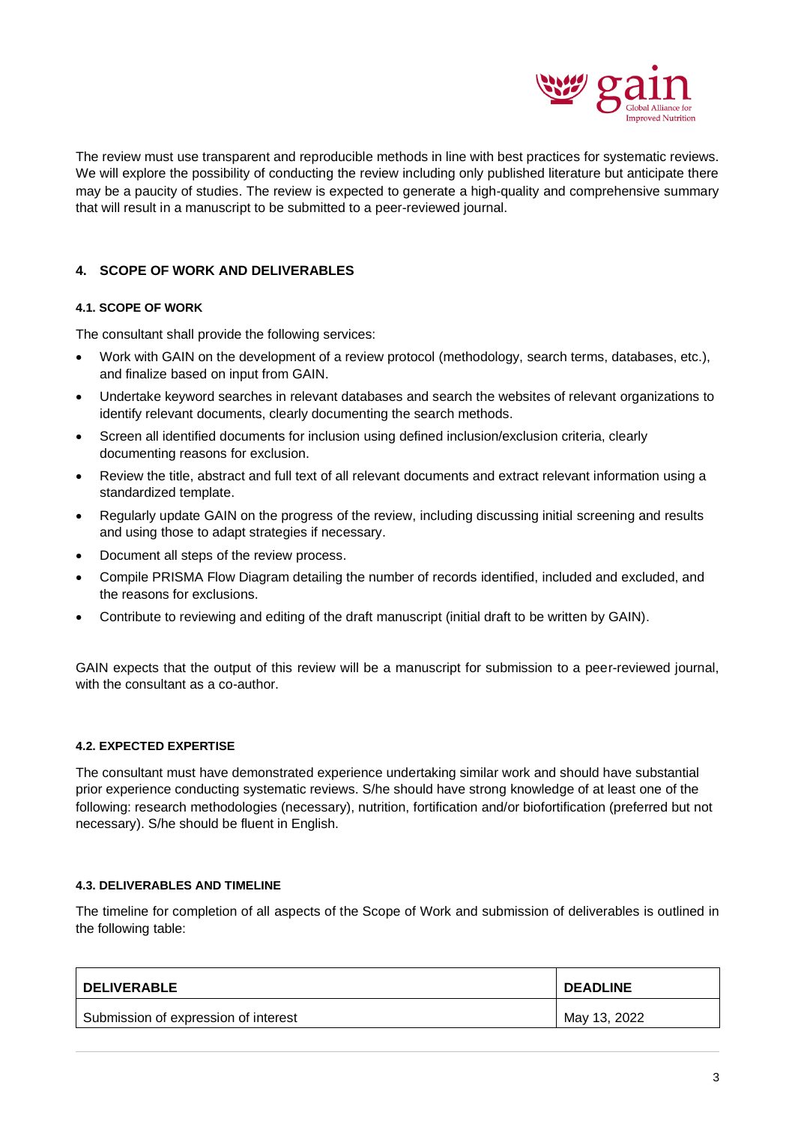

The review must use transparent and reproducible methods in line with best practices for systematic reviews. We will explore the possibility of conducting the review including only published literature but anticipate there may be a paucity of studies. The review is expected to generate a high-quality and comprehensive summary that will result in a manuscript to be submitted to a peer-reviewed journal.

# **4. SCOPE OF WORK AND DELIVERABLES**

#### **4.1. SCOPE OF WORK**

The consultant shall provide the following services:

- Work with GAIN on the development of a review protocol (methodology, search terms, databases, etc.), and finalize based on input from GAIN.
- Undertake keyword searches in relevant databases and search the websites of relevant organizations to identify relevant documents, clearly documenting the search methods.
- Screen all identified documents for inclusion using defined inclusion/exclusion criteria, clearly documenting reasons for exclusion.
- Review the title, abstract and full text of all relevant documents and extract relevant information using a standardized template.
- Regularly update GAIN on the progress of the review, including discussing initial screening and results and using those to adapt strategies if necessary.
- Document all steps of the review process.
- Compile PRISMA Flow Diagram detailing the number of records identified, included and excluded, and the reasons for exclusions.
- Contribute to reviewing and editing of the draft manuscript (initial draft to be written by GAIN).

GAIN expects that the output of this review will be a manuscript for submission to a peer-reviewed journal, with the consultant as a co-author.

#### **4.2. EXPECTED EXPERTISE**

The consultant must have demonstrated experience undertaking similar work and should have substantial prior experience conducting systematic reviews. S/he should have strong knowledge of at least one of the following: research methodologies (necessary), nutrition, fortification and/or biofortification (preferred but not necessary). S/he should be fluent in English.

#### **4.3. DELIVERABLES AND TIMELINE**

The timeline for completion of all aspects of the Scope of Work and submission of deliverables is outlined in the following table:

| <b>DELIVERABLE</b>                   | <b>DEADLINE</b> |
|--------------------------------------|-----------------|
| Submission of expression of interest | May 13, 2022    |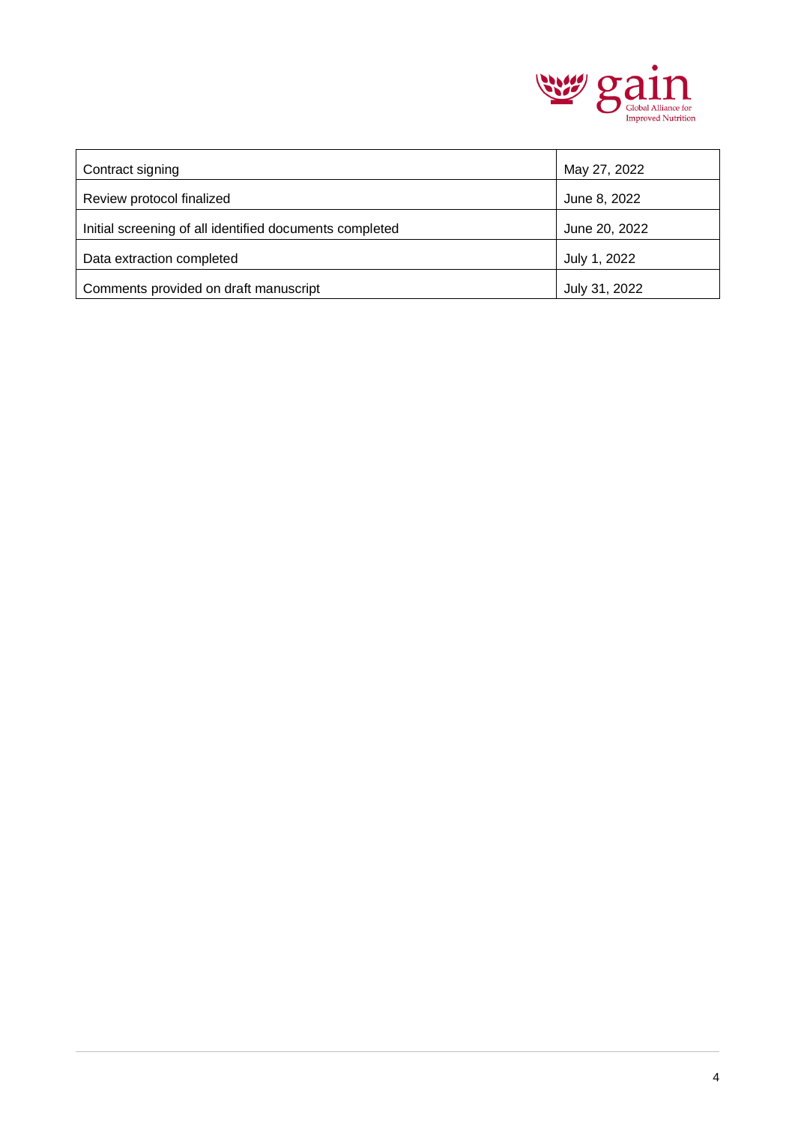

| Contract signing                                        | May 27, 2022  |
|---------------------------------------------------------|---------------|
| Review protocol finalized                               | June 8, 2022  |
| Initial screening of all identified documents completed | June 20, 2022 |
| Data extraction completed                               | July 1, 2022  |
| Comments provided on draft manuscript                   | July 31, 2022 |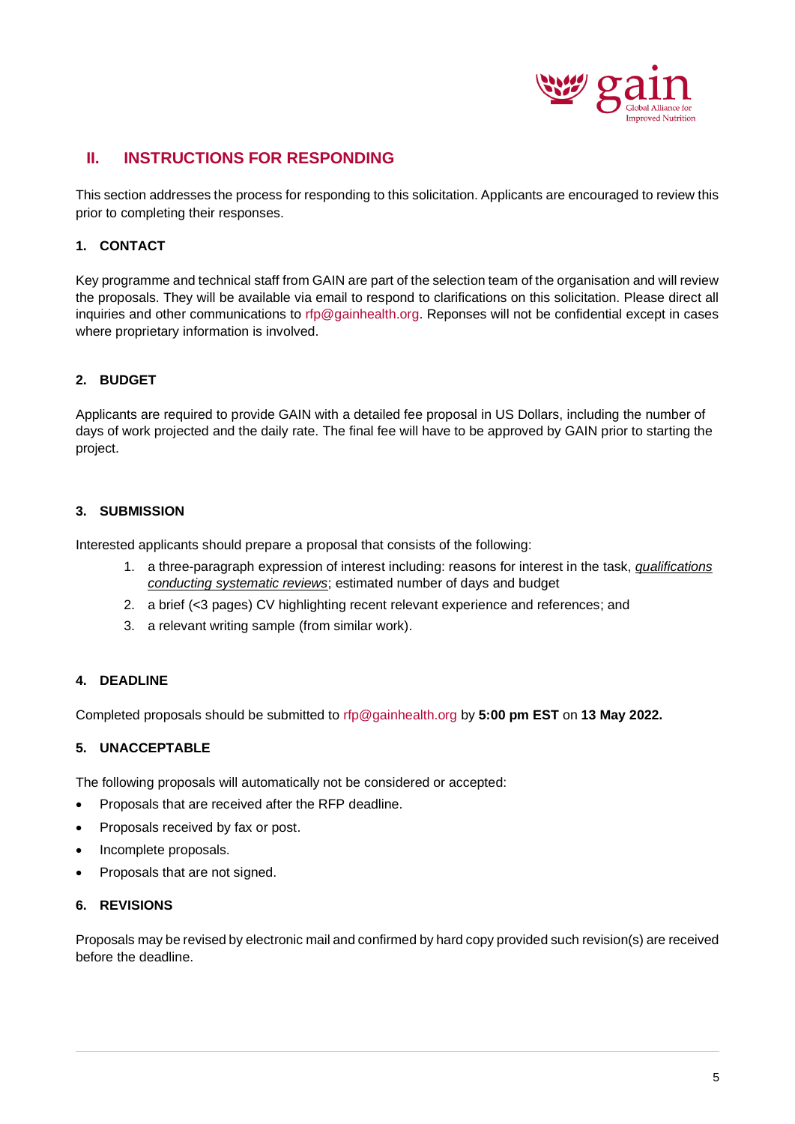

# **II. INSTRUCTIONS FOR RESPONDING**

This section addresses the process for responding to this solicitation. Applicants are encouraged to review this prior to completing their responses.

# **1. CONTACT**

Key programme and technical staff from GAIN are part of the selection team of the organisation and will review the proposals. They will be available via email to respond to clarifications on this solicitation. Please direct all inquiries and other communications to rfp@gainhealth.org. Reponses will not be confidential except in cases where proprietary information is involved.

# **2. BUDGET**

Applicants are required to provide GAIN with a detailed fee proposal in US Dollars, including the number of days of work projected and the daily rate. The final fee will have to be approved by GAIN prior to starting the project.

# **3. SUBMISSION**

Interested applicants should prepare a proposal that consists of the following:

- 1. a three-paragraph expression of interest including: reasons for interest in the task, *qualifications conducting systematic reviews*; estimated number of days and budget
- 2. a brief (<3 pages) CV highlighting recent relevant experience and references; and
- 3. a relevant writing sample (from similar work).

### **4. DEADLINE**

Completed proposals should be submitted to rfp@gainhealth.org by **5:00 pm EST** on **13 May 2022.**

#### **5. UNACCEPTABLE**

The following proposals will automatically not be considered or accepted:

- Proposals that are received after the RFP deadline.
- Proposals received by fax or post.
- Incomplete proposals.
- Proposals that are not signed.

#### **6. REVISIONS**

Proposals may be revised by electronic mail and confirmed by hard copy provided such revision(s) are received before the deadline.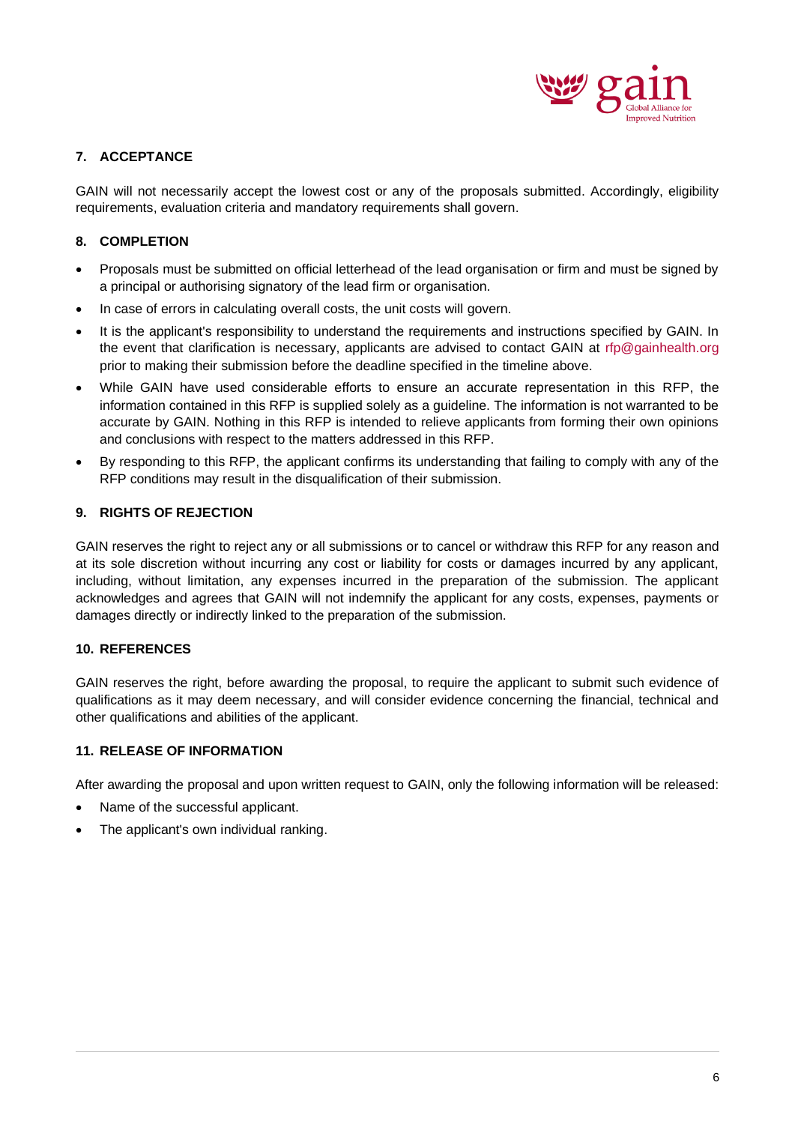

# **7. ACCEPTANCE**

GAIN will not necessarily accept the lowest cost or any of the proposals submitted. Accordingly, eligibility requirements, evaluation criteria and mandatory requirements shall govern.

# **8. COMPLETION**

- Proposals must be submitted on official letterhead of the lead organisation or firm and must be signed by a principal or authorising signatory of the lead firm or organisation.
- In case of errors in calculating overall costs, the unit costs will govern.
- It is the applicant's responsibility to understand the requirements and instructions specified by GAIN. In the event that clarification is necessary, applicants are advised to contact GAIN at rfp@gainhealth.org prior to making their submission before the deadline specified in the timeline above.
- While GAIN have used considerable efforts to ensure an accurate representation in this RFP, the information contained in this RFP is supplied solely as a guideline. The information is not warranted to be accurate by GAIN. Nothing in this RFP is intended to relieve applicants from forming their own opinions and conclusions with respect to the matters addressed in this RFP.
- By responding to this RFP, the applicant confirms its understanding that failing to comply with any of the RFP conditions may result in the disqualification of their submission.

#### **9. RIGHTS OF REJECTION**

GAIN reserves the right to reject any or all submissions or to cancel or withdraw this RFP for any reason and at its sole discretion without incurring any cost or liability for costs or damages incurred by any applicant, including, without limitation, any expenses incurred in the preparation of the submission. The applicant acknowledges and agrees that GAIN will not indemnify the applicant for any costs, expenses, payments or damages directly or indirectly linked to the preparation of the submission.

#### **10. REFERENCES**

GAIN reserves the right, before awarding the proposal, to require the applicant to submit such evidence of qualifications as it may deem necessary, and will consider evidence concerning the financial, technical and other qualifications and abilities of the applicant.

#### **11. RELEASE OF INFORMATION**

After awarding the proposal and upon written request to GAIN, only the following information will be released:

- Name of the successful applicant.
- The applicant's own individual ranking.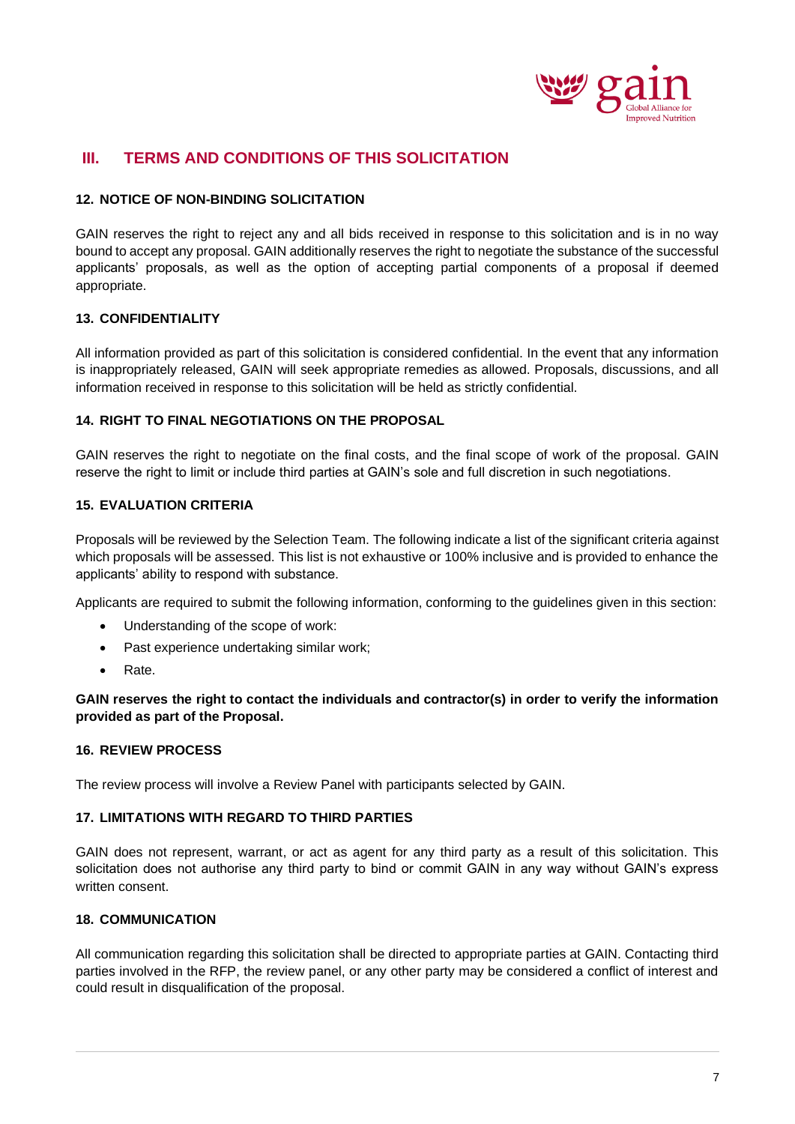

# **III. TERMS AND CONDITIONS OF THIS SOLICITATION**

## **12. NOTICE OF NON-BINDING SOLICITATION**

GAIN reserves the right to reject any and all bids received in response to this solicitation and is in no way bound to accept any proposal. GAIN additionally reserves the right to negotiate the substance of the successful applicants' proposals, as well as the option of accepting partial components of a proposal if deemed appropriate.

# **13. CONFIDENTIALITY**

All information provided as part of this solicitation is considered confidential. In the event that any information is inappropriately released, GAIN will seek appropriate remedies as allowed. Proposals, discussions, and all information received in response to this solicitation will be held as strictly confidential.

#### **14. RIGHT TO FINAL NEGOTIATIONS ON THE PROPOSAL**

GAIN reserves the right to negotiate on the final costs, and the final scope of work of the proposal. GAIN reserve the right to limit or include third parties at GAIN's sole and full discretion in such negotiations.

# **15. EVALUATION CRITERIA**

Proposals will be reviewed by the Selection Team. The following indicate a list of the significant criteria against which proposals will be assessed. This list is not exhaustive or 100% inclusive and is provided to enhance the applicants' ability to respond with substance.

Applicants are required to submit the following information, conforming to the guidelines given in this section:

- Understanding of the scope of work:
- Past experience undertaking similar work;
- Rate.

**GAIN reserves the right to contact the individuals and contractor(s) in order to verify the information provided as part of the Proposal.**

#### **16. REVIEW PROCESS**

The review process will involve a Review Panel with participants selected by GAIN.

#### **17. LIMITATIONS WITH REGARD TO THIRD PARTIES**

GAIN does not represent, warrant, or act as agent for any third party as a result of this solicitation. This solicitation does not authorise any third party to bind or commit GAIN in any way without GAIN's express written consent.

## **18. COMMUNICATION**

All communication regarding this solicitation shall be directed to appropriate parties at GAIN. Contacting third parties involved in the RFP, the review panel, or any other party may be considered a conflict of interest and could result in disqualification of the proposal.